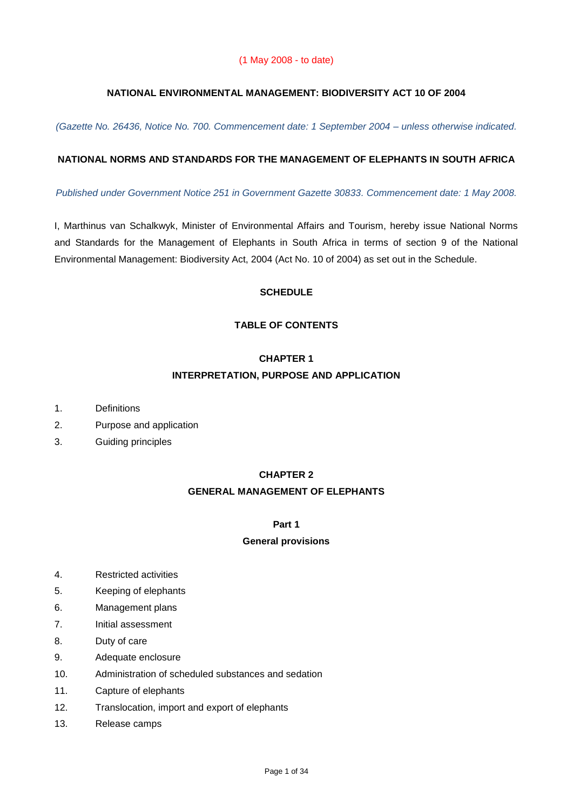### **NATIONAL ENVIRONMENTAL MANAGEMENT: BIODIVERSITY ACT 10 OF 2004**

*(Gazette No. 26436, Notice No. 700. Commencement date: 1 September 2004 – unless otherwise indicated.*

#### **NATIONAL NORMS AND STANDARDS FOR THE MANAGEMENT OF ELEPHANTS IN SOUTH AFRICA**

*Published under Government Notice 251 in Government Gazette 30833. Commencement date: 1 May 2008.*

I, Marthinus van Schalkwyk, Minister of Environmental Affairs and Tourism, hereby issue National Norms and Standards for the Management of Elephants in South Africa in terms of section 9 of the National Environmental Management: Biodiversity Act, 2004 (Act No. 10 of 2004) as set out in the Schedule.

### **SCHEDULE**

### **TABLE OF CONTENTS**

#### **CHAPTER 1**

# **INTERPRETATION, PURPOSE AND APPLICATION**

- 1. Definitions
- 2. Purpose and application
- 3. Guiding principles

#### **CHAPTER 2**

#### **GENERAL MANAGEMENT OF ELEPHANTS**

### **Part 1**

#### **General provisions**

- 4. Restricted activities
- 5. Keeping of elephants
- 6. Management plans
- 7. Initial assessment
- 8. Duty of care
- 9. Adequate enclosure
- 10. Administration of scheduled substances and sedation
- 11. Capture of elephants
- 12. Translocation, import and export of elephants
- 13. Release camps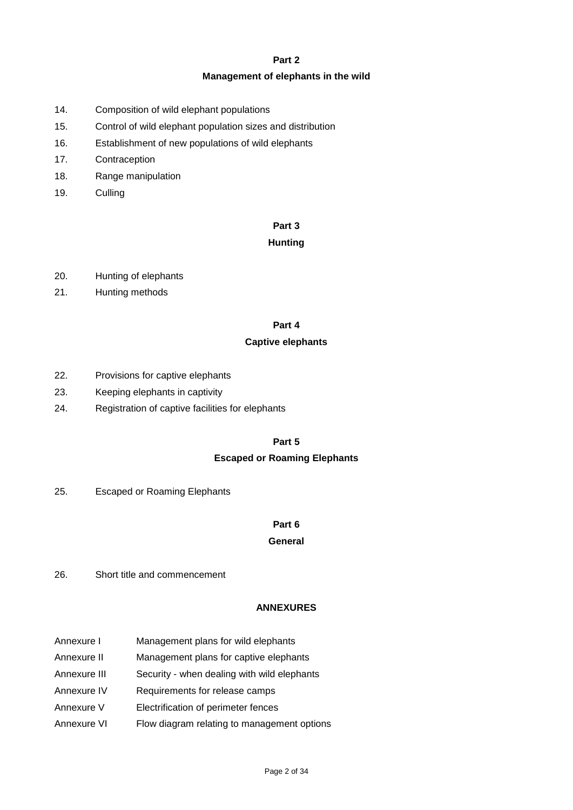#### **Part 2**

#### **Management of elephants in the wild**

- 14. Composition of wild elephant populations
- 15. Control of wild elephant population sizes and distribution
- 16. Establishment of new populations of wild elephants
- 17. Contraception
- 18. Range manipulation
- 19. Culling

#### **Part 3**

#### **Hunting**

- 20. Hunting of elephants
- 21. Hunting methods

### **Part 4**

### **Captive elephants**

- 22. Provisions for captive elephants
- 23. Keeping elephants in captivity
- 24. Registration of captive facilities for elephants

### **Part 5**

### **Escaped or Roaming Elephants**

25. Escaped or Roaming Elephants

### **Part 6**

#### **General**

26. Short title and commencement

#### **ANNEXURES**

- Annexure I Management plans for wild elephants
- Annexure II Management plans for captive elephants
- Annexure III Security when dealing with wild elephants
- Annexure IV Requirements for release camps
- Annexure V Electrification of perimeter fences
- Annexure VI Flow diagram relating to management options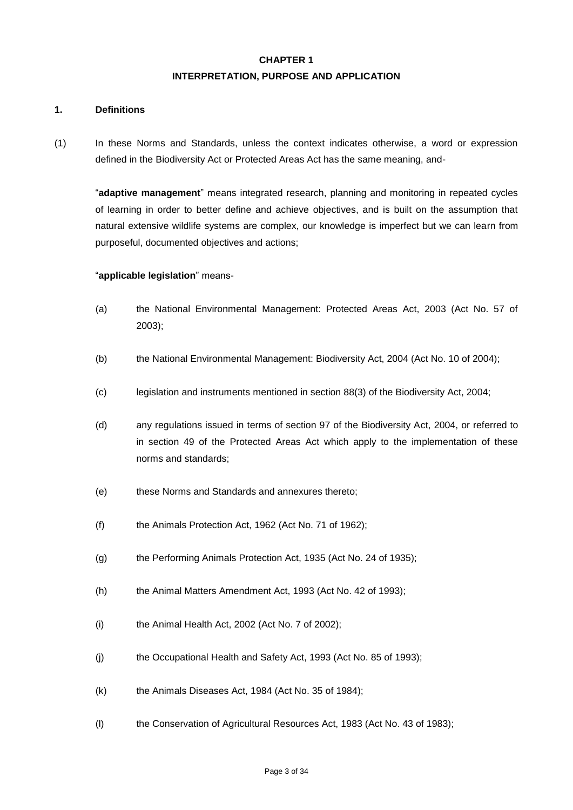# **CHAPTER 1 INTERPRETATION, PURPOSE AND APPLICATION**

#### **1. Definitions**

(1) In these Norms and Standards, unless the context indicates otherwise, a word or expression defined in the Biodiversity Act or Protected Areas Act has the same meaning, and-

"**adaptive management**" means integrated research, planning and monitoring in repeated cycles of learning in order to better define and achieve objectives, and is built on the assumption that natural extensive wildlife systems are complex, our knowledge is imperfect but we can learn from purposeful, documented objectives and actions;

#### "**applicable legislation**" means-

- (a) the National Environmental Management: Protected Areas Act, 2003 (Act No. 57 of 2003);
- (b) the National Environmental Management: Biodiversity Act, 2004 (Act No. 10 of 2004);
- (c) legislation and instruments mentioned in section 88(3) of the Biodiversity Act, 2004;
- (d) any regulations issued in terms of section 97 of the Biodiversity Act, 2004, or referred to in section 49 of the Protected Areas Act which apply to the implementation of these norms and standards;
- (e) these Norms and Standards and annexures thereto;
- (f) the Animals Protection Act, 1962 (Act No. 71 of 1962);
- (g) the Performing Animals Protection Act, 1935 (Act No. 24 of 1935);
- (h) the Animal Matters Amendment Act, 1993 (Act No. 42 of 1993);
- (i) the Animal Health Act, 2002 (Act No. 7 of 2002);
- (j) the Occupational Health and Safety Act, 1993 (Act No. 85 of 1993);
- (k) the Animals Diseases Act, 1984 (Act No. 35 of 1984);
- (l) the Conservation of Agricultural Resources Act, 1983 (Act No. 43 of 1983);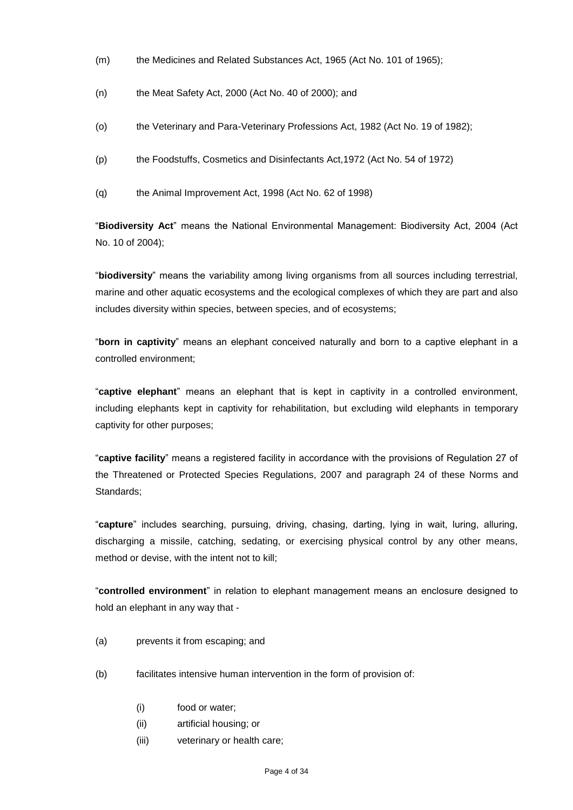- (m) the Medicines and Related Substances Act, 1965 (Act No. 101 of 1965);
- (n) the Meat Safety Act, 2000 (Act No. 40 of 2000); and
- (o) the Veterinary and Para-Veterinary Professions Act, 1982 (Act No. 19 of 1982);
- (p) the Foodstuffs, Cosmetics and Disinfectants Act,1972 (Act No. 54 of 1972)
- (q) the Animal Improvement Act, 1998 (Act No. 62 of 1998)

"**Biodiversity Act**" means the National Environmental Management: Biodiversity Act, 2004 (Act No. 10 of 2004);

"**biodiversity**" means the variability among living organisms from all sources including terrestrial, marine and other aquatic ecosystems and the ecological complexes of which they are part and also includes diversity within species, between species, and of ecosystems;

"**born in captivity**" means an elephant conceived naturally and born to a captive elephant in a controlled environment;

"**captive elephant**" means an elephant that is kept in captivity in a controlled environment, including elephants kept in captivity for rehabilitation, but excluding wild elephants in temporary captivity for other purposes;

"**captive facility**" means a registered facility in accordance with the provisions of Regulation 27 of the Threatened or Protected Species Regulations, 2007 and paragraph 24 of these Norms and Standards;

"**capture**" includes searching, pursuing, driving, chasing, darting, lying in wait, luring, alluring, discharging a missile, catching, sedating, or exercising physical control by any other means, method or devise, with the intent not to kill;

"**controlled environment**" in relation to elephant management means an enclosure designed to hold an elephant in any way that -

- (a) prevents it from escaping; and
- (b) facilitates intensive human intervention in the form of provision of:
	- (i) food or water;
	- (ii) artificial housing; or
	- (iii) veterinary or health care;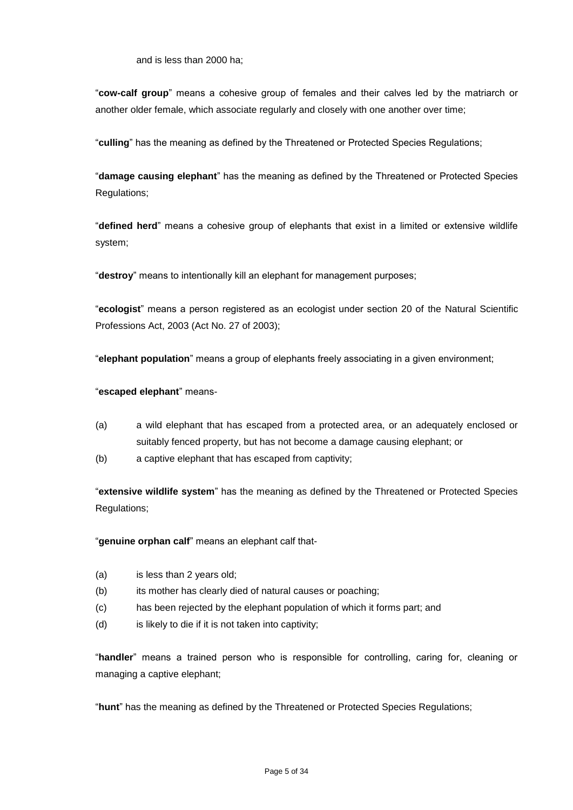and is less than 2000 ha;

"**cow-calf group**" means a cohesive group of females and their calves led by the matriarch or another older female, which associate regularly and closely with one another over time;

"**culling**" has the meaning as defined by the Threatened or Protected Species Regulations;

"**damage causing elephant**" has the meaning as defined by the Threatened or Protected Species Regulations;

"**defined herd**" means a cohesive group of elephants that exist in a limited or extensive wildlife system;

"**destroy**" means to intentionally kill an elephant for management purposes;

"**ecologist**" means a person registered as an ecologist under section 20 of the Natural Scientific Professions Act, 2003 (Act No. 27 of 2003);

"**elephant population**" means a group of elephants freely associating in a given environment;

#### "**escaped elephant**" means-

- (a) a wild elephant that has escaped from a protected area, or an adequately enclosed or suitably fenced property, but has not become a damage causing elephant; or
- (b) a captive elephant that has escaped from captivity;

"**extensive wildlife system**" has the meaning as defined by the Threatened or Protected Species Regulations;

"**genuine orphan calf**" means an elephant calf that-

- (a) is less than 2 years old;
- (b) its mother has clearly died of natural causes or poaching;
- (c) has been rejected by the elephant population of which it forms part; and
- (d) is likely to die if it is not taken into captivity;

"**handler**" means a trained person who is responsible for controlling, caring for, cleaning or managing a captive elephant;

"**hunt**" has the meaning as defined by the Threatened or Protected Species Regulations;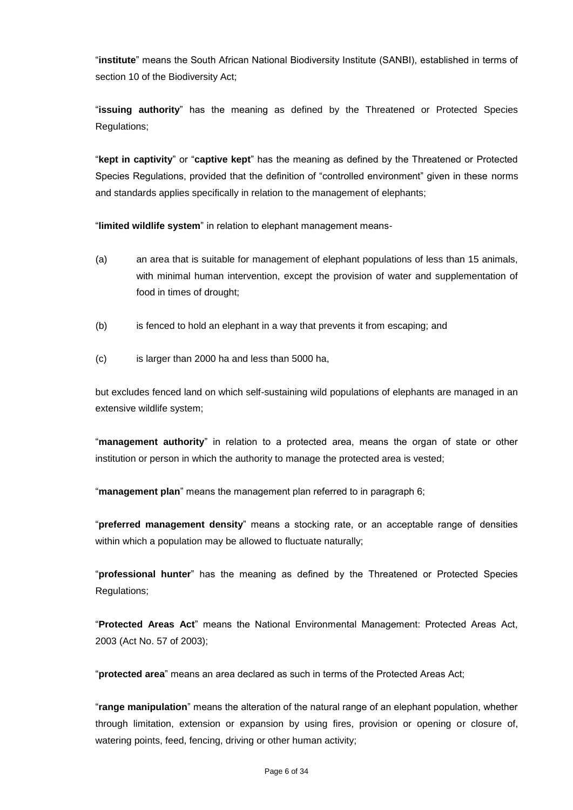"**institute**" means the South African National Biodiversity Institute (SANBI), established in terms of section 10 of the Biodiversity Act;

"**issuing authority**" has the meaning as defined by the Threatened or Protected Species Regulations;

"**kept in captivity**" or "**captive kept**" has the meaning as defined by the Threatened or Protected Species Regulations, provided that the definition of "controlled environment" given in these norms and standards applies specifically in relation to the management of elephants;

"**limited wildlife system**" in relation to elephant management means-

- (a) an area that is suitable for management of elephant populations of less than 15 animals, with minimal human intervention, except the provision of water and supplementation of food in times of drought;
- (b) is fenced to hold an elephant in a way that prevents it from escaping; and
- (c) is larger than 2000 ha and less than 5000 ha,

but excludes fenced land on which self-sustaining wild populations of elephants are managed in an extensive wildlife system;

"**management authority**" in relation to a protected area, means the organ of state or other institution or person in which the authority to manage the protected area is vested;

"**management plan**" means the management plan referred to in paragraph 6;

"**preferred management density**" means a stocking rate, or an acceptable range of densities within which a population may be allowed to fluctuate naturally;

"**professional hunter**" has the meaning as defined by the Threatened or Protected Species Regulations;

"**Protected Areas Act**" means the National Environmental Management: Protected Areas Act, 2003 (Act No. 57 of 2003);

"**protected area**" means an area declared as such in terms of the Protected Areas Act;

"**range manipulation**" means the alteration of the natural range of an elephant population, whether through limitation, extension or expansion by using fires, provision or opening or closure of, watering points, feed, fencing, driving or other human activity;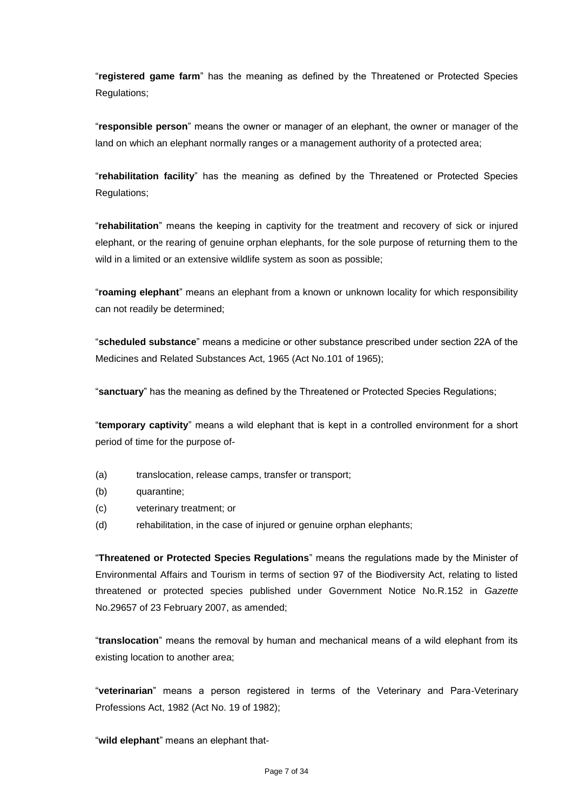"**registered game farm**" has the meaning as defined by the Threatened or Protected Species Regulations;

"**responsible person**" means the owner or manager of an elephant, the owner or manager of the land on which an elephant normally ranges or a management authority of a protected area;

"**rehabilitation facility**" has the meaning as defined by the Threatened or Protected Species Regulations;

"**rehabilitation**" means the keeping in captivity for the treatment and recovery of sick or injured elephant, or the rearing of genuine orphan elephants, for the sole purpose of returning them to the wild in a limited or an extensive wildlife system as soon as possible;

"**roaming elephant**" means an elephant from a known or unknown locality for which responsibility can not readily be determined;

"**scheduled substance**" means a medicine or other substance prescribed under section 22A of the Medicines and Related Substances Act, 1965 (Act No.101 of 1965);

"**sanctuary**" has the meaning as defined by the Threatened or Protected Species Regulations;

"**temporary captivity**" means a wild elephant that is kept in a controlled environment for a short period of time for the purpose of-

- (a) translocation, release camps, transfer or transport;
- (b) quarantine;
- (c) veterinary treatment; or
- (d) rehabilitation, in the case of injured or genuine orphan elephants;

"**Threatened or Protected Species Regulations**" means the regulations made by the Minister of Environmental Affairs and Tourism in terms of section 97 of the Biodiversity Act, relating to listed threatened or protected species published under Government Notice No.R.152 in *Gazette* No.29657 of 23 February 2007, as amended;

"**translocation**" means the removal by human and mechanical means of a wild elephant from its existing location to another area;

"**veterinarian**" means a person registered in terms of the Veterinary and Para-Veterinary Professions Act, 1982 (Act No. 19 of 1982);

"**wild elephant**" means an elephant that-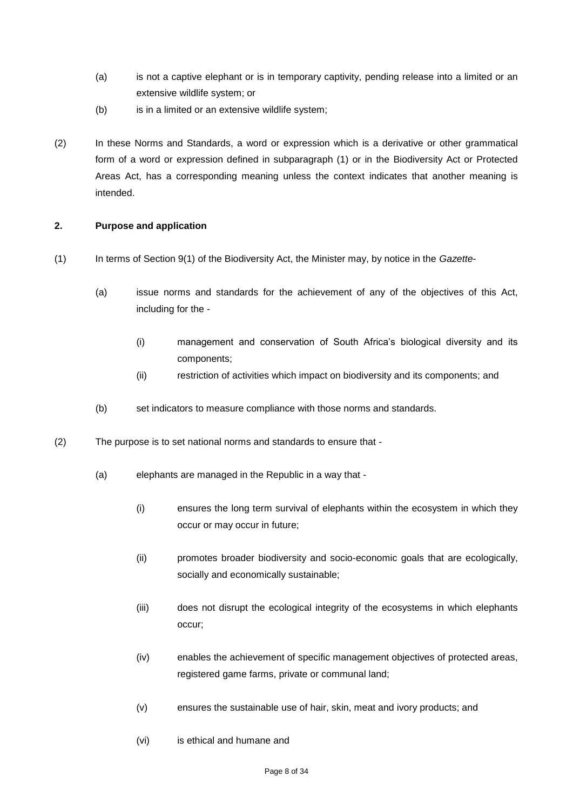- (a) is not a captive elephant or is in temporary captivity, pending release into a limited or an extensive wildlife system; or
- (b) is in a limited or an extensive wildlife system;
- (2) In these Norms and Standards, a word or expression which is a derivative or other grammatical form of a word or expression defined in subparagraph (1) or in the Biodiversity Act or Protected Areas Act, has a corresponding meaning unless the context indicates that another meaning is intended.

### **2. Purpose and application**

- (1) In terms of Section 9(1) of the Biodiversity Act, the Minister may, by notice in the *Gazette*
	- (a) issue norms and standards for the achievement of any of the objectives of this Act, including for the -
		- (i) management and conservation of South Africa's biological diversity and its components;
		- (ii) restriction of activities which impact on biodiversity and its components; and
	- (b) set indicators to measure compliance with those norms and standards.
- (2) The purpose is to set national norms and standards to ensure that
	- (a) elephants are managed in the Republic in a way that
		- (i) ensures the long term survival of elephants within the ecosystem in which they occur or may occur in future;
		- (ii) promotes broader biodiversity and socio-economic goals that are ecologically, socially and economically sustainable;
		- (iii) does not disrupt the ecological integrity of the ecosystems in which elephants occur;
		- (iv) enables the achievement of specific management objectives of protected areas, registered game farms, private or communal land;
		- (v) ensures the sustainable use of hair, skin, meat and ivory products; and
		- (vi) is ethical and humane and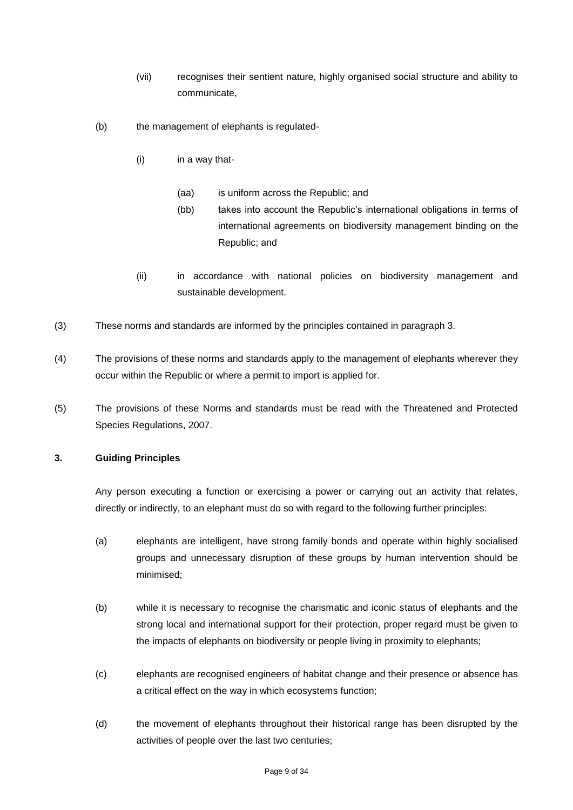- (vii) recognises their sentient nature, highly organised social structure and ability to communicate,
- (b) the management of elephants is regulated-
	- (i) in a way that-
		- (aa) is uniform across the Republic; and
		- (bb) takes into account the Republic's international obligations in terms of international agreements on biodiversity management binding on the Republic; and
	- (ii) in accordance with national policies on biodiversity management and sustainable development.
- (3) These norms and standards are informed by the principles contained in paragraph 3.
- (4) The provisions of these norms and standards apply to the management of elephants wherever they occur within the Republic or where a permit to import is applied for.
- (5) The provisions of these Norms and standards must be read with the Threatened and Protected Species Regulations, 2007.

### **3. Guiding Principles**

Any person executing a function or exercising a power or carrying out an activity that relates, directly or indirectly, to an elephant must do so with regard to the following further principles:

- (a) elephants are intelligent, have strong family bonds and operate within highly socialised groups and unnecessary disruption of these groups by human intervention should be minimised;
- (b) while it is necessary to recognise the charismatic and iconic status of elephants and the strong local and international support for their protection, proper regard must be given to the impacts of elephants on biodiversity or people living in proximity to elephants;
- (c) elephants are recognised engineers of habitat change and their presence or absence has a critical effect on the way in which ecosystems function;
- (d) the movement of elephants throughout their historical range has been disrupted by the activities of people over the last two centuries;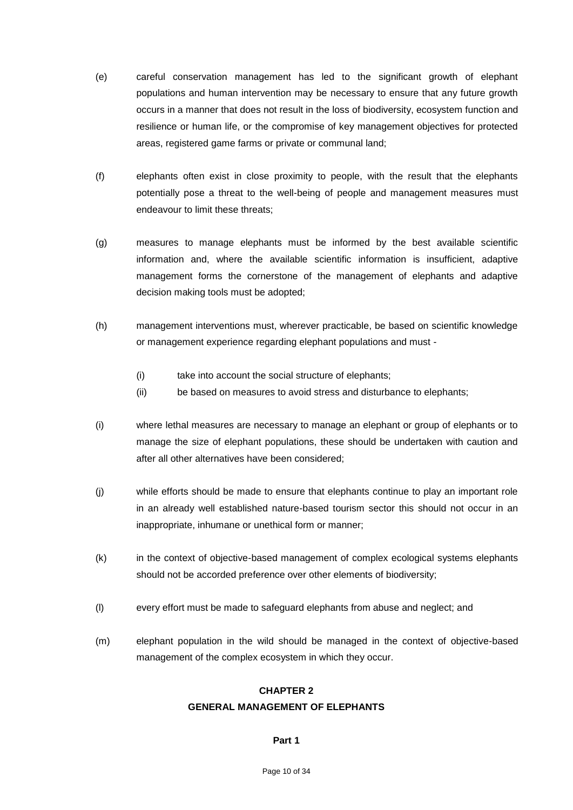- (e) careful conservation management has led to the significant growth of elephant populations and human intervention may be necessary to ensure that any future growth occurs in a manner that does not result in the loss of biodiversity, ecosystem function and resilience or human life, or the compromise of key management objectives for protected areas, registered game farms or private or communal land;
- (f) elephants often exist in close proximity to people, with the result that the elephants potentially pose a threat to the well-being of people and management measures must endeavour to limit these threats;
- (g) measures to manage elephants must be informed by the best available scientific information and, where the available scientific information is insufficient, adaptive management forms the cornerstone of the management of elephants and adaptive decision making tools must be adopted;
- (h) management interventions must, wherever practicable, be based on scientific knowledge or management experience regarding elephant populations and must -
	- (i) take into account the social structure of elephants;
	- (ii) be based on measures to avoid stress and disturbance to elephants;
- (i) where lethal measures are necessary to manage an elephant or group of elephants or to manage the size of elephant populations, these should be undertaken with caution and after all other alternatives have been considered;
- (j) while efforts should be made to ensure that elephants continue to play an important role in an already well established nature-based tourism sector this should not occur in an inappropriate, inhumane or unethical form or manner;
- (k) in the context of objective-based management of complex ecological systems elephants should not be accorded preference over other elements of biodiversity;
- (l) every effort must be made to safeguard elephants from abuse and neglect; and
- (m) elephant population in the wild should be managed in the context of objective-based management of the complex ecosystem in which they occur.

### **CHAPTER 2**

#### **GENERAL MANAGEMENT OF ELEPHANTS**

#### **Part 1**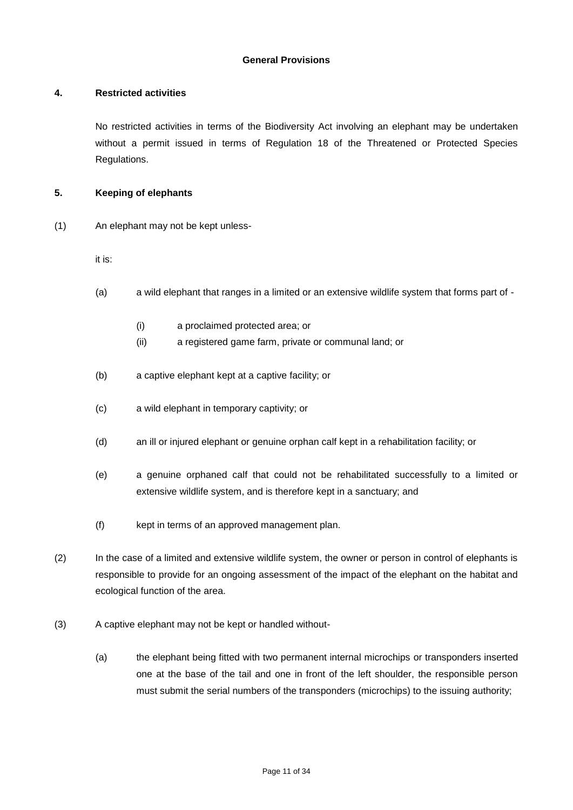#### **General Provisions**

#### **4. Restricted activities**

No restricted activities in terms of the Biodiversity Act involving an elephant may be undertaken without a permit issued in terms of Regulation 18 of the Threatened or Protected Species Regulations.

#### **5. Keeping of elephants**

(1) An elephant may not be kept unless-

it is:

- (a) a wild elephant that ranges in a limited or an extensive wildlife system that forms part of
	- (i) a proclaimed protected area; or
	- (ii) a registered game farm, private or communal land; or
- (b) a captive elephant kept at a captive facility; or
- (c) a wild elephant in temporary captivity; or
- (d) an ill or injured elephant or genuine orphan calf kept in a rehabilitation facility; or
- (e) a genuine orphaned calf that could not be rehabilitated successfully to a limited or extensive wildlife system, and is therefore kept in a sanctuary; and
- (f) kept in terms of an approved management plan.
- (2) In the case of a limited and extensive wildlife system, the owner or person in control of elephants is responsible to provide for an ongoing assessment of the impact of the elephant on the habitat and ecological function of the area.
- (3) A captive elephant may not be kept or handled without-
	- (a) the elephant being fitted with two permanent internal microchips or transponders inserted one at the base of the tail and one in front of the left shoulder, the responsible person must submit the serial numbers of the transponders (microchips) to the issuing authority;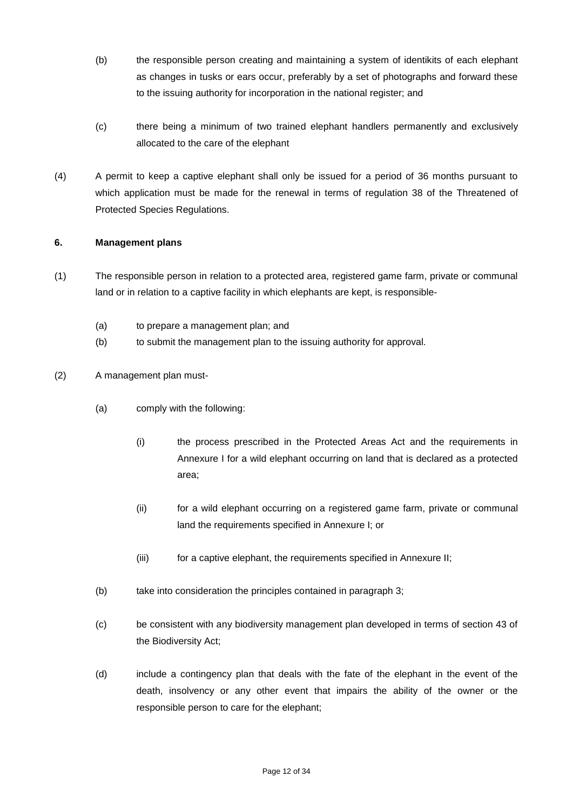- (b) the responsible person creating and maintaining a system of identikits of each elephant as changes in tusks or ears occur, preferably by a set of photographs and forward these to the issuing authority for incorporation in the national register; and
- (c) there being a minimum of two trained elephant handlers permanently and exclusively allocated to the care of the elephant
- (4) A permit to keep a captive elephant shall only be issued for a period of 36 months pursuant to which application must be made for the renewal in terms of regulation 38 of the Threatened of Protected Species Regulations.

# **6. Management plans**

- (1) The responsible person in relation to a protected area, registered game farm, private or communal land or in relation to a captive facility in which elephants are kept, is responsible-
	- (a) to prepare a management plan; and
	- (b) to submit the management plan to the issuing authority for approval.
- (2) A management plan must-
	- (a) comply with the following:
		- (i) the process prescribed in the Protected Areas Act and the requirements in Annexure I for a wild elephant occurring on land that is declared as a protected area;
		- (ii) for a wild elephant occurring on a registered game farm, private or communal land the requirements specified in Annexure I; or
		- (iii) for a captive elephant, the requirements specified in Annexure II;
	- (b) take into consideration the principles contained in paragraph 3;
	- (c) be consistent with any biodiversity management plan developed in terms of section 43 of the Biodiversity Act;
	- (d) include a contingency plan that deals with the fate of the elephant in the event of the death, insolvency or any other event that impairs the ability of the owner or the responsible person to care for the elephant;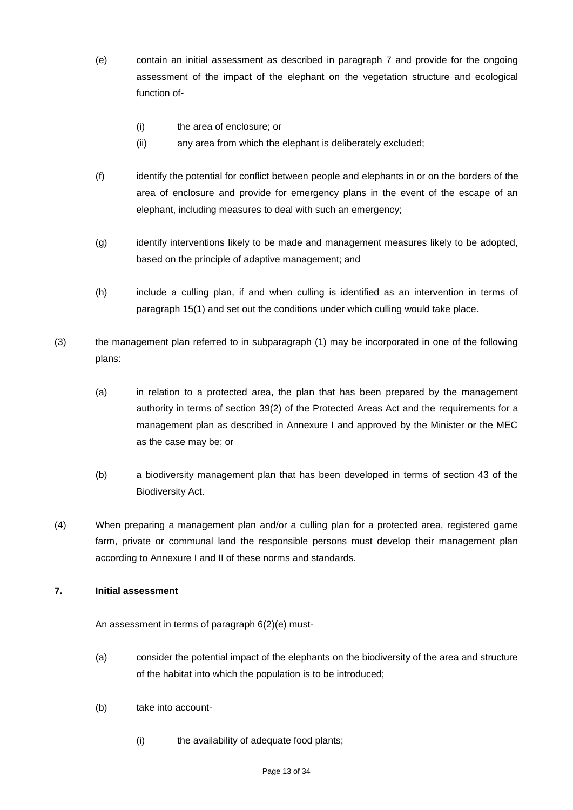- (e) contain an initial assessment as described in paragraph 7 and provide for the ongoing assessment of the impact of the elephant on the vegetation structure and ecological function of-
	- (i) the area of enclosure; or
	- (ii) any area from which the elephant is deliberately excluded;
- (f) identify the potential for conflict between people and elephants in or on the borders of the area of enclosure and provide for emergency plans in the event of the escape of an elephant, including measures to deal with such an emergency;
- (g) identify interventions likely to be made and management measures likely to be adopted, based on the principle of adaptive management; and
- (h) include a culling plan, if and when culling is identified as an intervention in terms of paragraph 15(1) and set out the conditions under which culling would take place.
- (3) the management plan referred to in subparagraph (1) may be incorporated in one of the following plans:
	- (a) in relation to a protected area, the plan that has been prepared by the management authority in terms of section 39(2) of the Protected Areas Act and the requirements for a management plan as described in Annexure I and approved by the Minister or the MEC as the case may be; or
	- (b) a biodiversity management plan that has been developed in terms of section 43 of the Biodiversity Act.
- (4) When preparing a management plan and/or a culling plan for a protected area, registered game farm, private or communal land the responsible persons must develop their management plan according to Annexure I and II of these norms and standards.

# **7. Initial assessment**

An assessment in terms of paragraph 6(2)(e) must-

- (a) consider the potential impact of the elephants on the biodiversity of the area and structure of the habitat into which the population is to be introduced;
- (b) take into account-
	- (i) the availability of adequate food plants;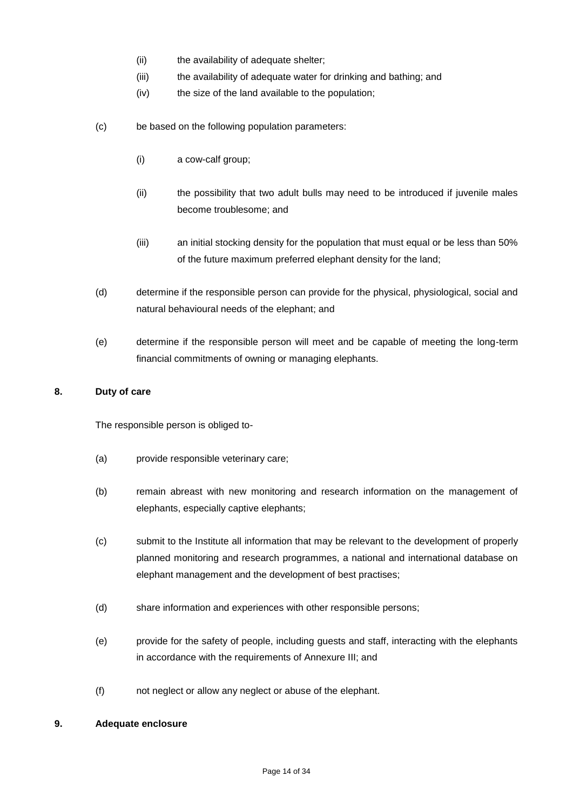- (ii) the availability of adequate shelter;
- (iii) the availability of adequate water for drinking and bathing; and
- (iv) the size of the land available to the population;
- (c) be based on the following population parameters:
	- (i) a cow-calf group;
	- (ii) the possibility that two adult bulls may need to be introduced if juvenile males become troublesome; and
	- (iii) an initial stocking density for the population that must equal or be less than 50% of the future maximum preferred elephant density for the land;
- (d) determine if the responsible person can provide for the physical, physiological, social and natural behavioural needs of the elephant; and
- (e) determine if the responsible person will meet and be capable of meeting the long-term financial commitments of owning or managing elephants.

### **8. Duty of care**

The responsible person is obliged to-

- (a) provide responsible veterinary care;
- (b) remain abreast with new monitoring and research information on the management of elephants, especially captive elephants;
- (c) submit to the Institute all information that may be relevant to the development of properly planned monitoring and research programmes, a national and international database on elephant management and the development of best practises;
- (d) share information and experiences with other responsible persons;
- (e) provide for the safety of people, including guests and staff, interacting with the elephants in accordance with the requirements of Annexure III; and
- (f) not neglect or allow any neglect or abuse of the elephant.

#### **9. Adequate enclosure**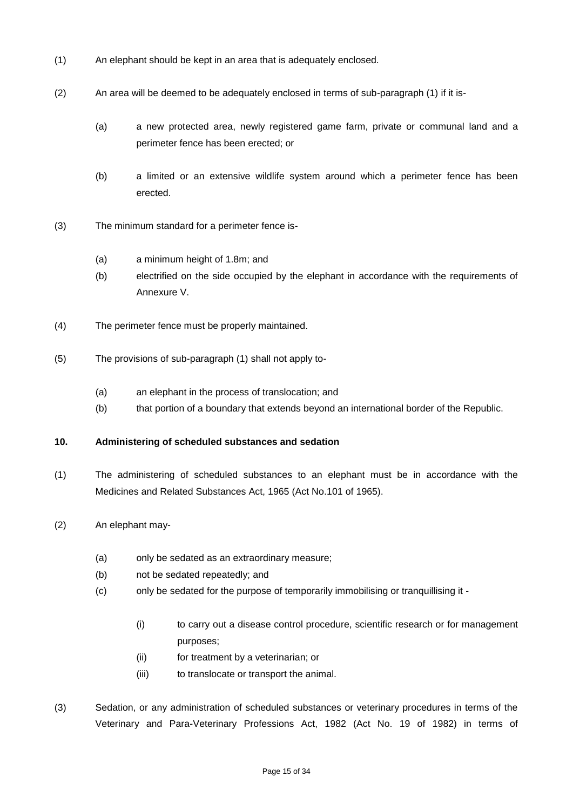- (1) An elephant should be kept in an area that is adequately enclosed.
- (2) An area will be deemed to be adequately enclosed in terms of sub-paragraph (1) if it is-
	- (a) a new protected area, newly registered game farm, private or communal land and a perimeter fence has been erected; or
	- (b) a limited or an extensive wildlife system around which a perimeter fence has been erected.
- (3) The minimum standard for a perimeter fence is-
	- (a) a minimum height of 1.8m; and
	- (b) electrified on the side occupied by the elephant in accordance with the requirements of Annexure V.
- (4) The perimeter fence must be properly maintained.
- (5) The provisions of sub-paragraph (1) shall not apply to-
	- (a) an elephant in the process of translocation; and
	- (b) that portion of a boundary that extends beyond an international border of the Republic.

#### **10. Administering of scheduled substances and sedation**

- (1) The administering of scheduled substances to an elephant must be in accordance with the Medicines and Related Substances Act, 1965 (Act No.101 of 1965).
- (2) An elephant may-
	- (a) only be sedated as an extraordinary measure;
	- (b) not be sedated repeatedly; and
	- (c) only be sedated for the purpose of temporarily immobilising or tranquillising it
		- (i) to carry out a disease control procedure, scientific research or for management purposes;
		- (ii) for treatment by a veterinarian; or
		- (iii) to translocate or transport the animal.
- (3) Sedation, or any administration of scheduled substances or veterinary procedures in terms of the Veterinary and Para-Veterinary Professions Act, 1982 (Act No. 19 of 1982) in terms of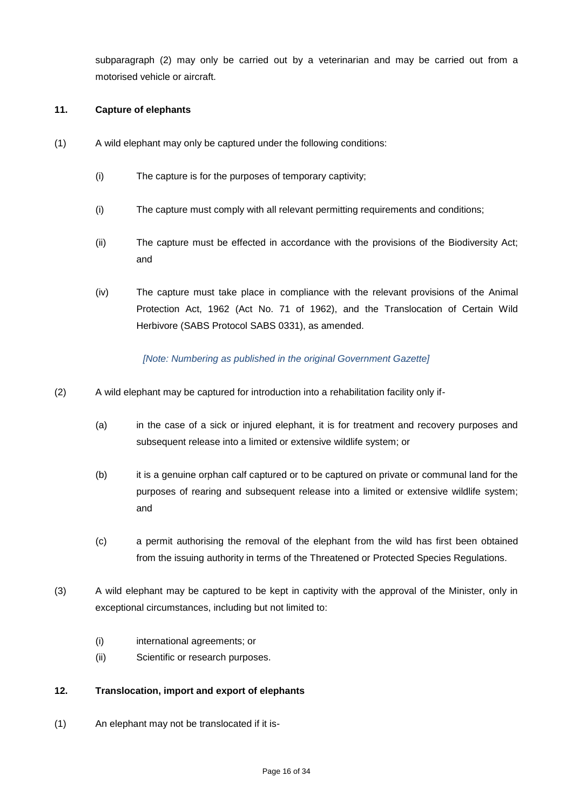subparagraph (2) may only be carried out by a veterinarian and may be carried out from a motorised vehicle or aircraft.

### **11. Capture of elephants**

- (1) A wild elephant may only be captured under the following conditions:
	- (i) The capture is for the purposes of temporary captivity;
	- (i) The capture must comply with all relevant permitting requirements and conditions;
	- (ii) The capture must be effected in accordance with the provisions of the Biodiversity Act; and
	- (iv) The capture must take place in compliance with the relevant provisions of the Animal Protection Act, 1962 (Act No. 71 of 1962), and the Translocation of Certain Wild Herbivore (SABS Protocol SABS 0331), as amended.

#### *[Note: Numbering as published in the original Government Gazette]*

- (2) A wild elephant may be captured for introduction into a rehabilitation facility only if-
	- (a) in the case of a sick or injured elephant, it is for treatment and recovery purposes and subsequent release into a limited or extensive wildlife system; or
	- (b) it is a genuine orphan calf captured or to be captured on private or communal land for the purposes of rearing and subsequent release into a limited or extensive wildlife system; and
	- (c) a permit authorising the removal of the elephant from the wild has first been obtained from the issuing authority in terms of the Threatened or Protected Species Regulations.
- (3) A wild elephant may be captured to be kept in captivity with the approval of the Minister, only in exceptional circumstances, including but not limited to:
	- (i) international agreements; or
	- (ii) Scientific or research purposes.

### **12. Translocation, import and export of elephants**

(1) An elephant may not be translocated if it is-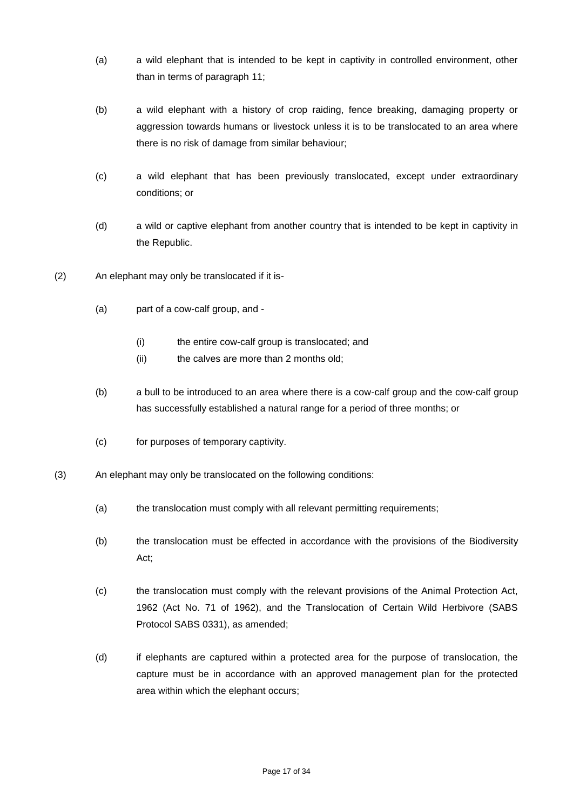- (a) a wild elephant that is intended to be kept in captivity in controlled environment, other than in terms of paragraph 11;
- (b) a wild elephant with a history of crop raiding, fence breaking, damaging property or aggression towards humans or livestock unless it is to be translocated to an area where there is no risk of damage from similar behaviour;
- (c) a wild elephant that has been previously translocated, except under extraordinary conditions; or
- (d) a wild or captive elephant from another country that is intended to be kept in captivity in the Republic.
- (2) An elephant may only be translocated if it is-
	- (a) part of a cow-calf group, and
		- (i) the entire cow-calf group is translocated; and
		- (ii) the calves are more than 2 months old;
	- (b) a bull to be introduced to an area where there is a cow-calf group and the cow-calf group has successfully established a natural range for a period of three months; or
	- (c) for purposes of temporary captivity.
- (3) An elephant may only be translocated on the following conditions:
	- (a) the translocation must comply with all relevant permitting requirements;
	- (b) the translocation must be effected in accordance with the provisions of the Biodiversity Act;
	- (c) the translocation must comply with the relevant provisions of the Animal Protection Act, 1962 (Act No. 71 of 1962), and the Translocation of Certain Wild Herbivore (SABS Protocol SABS 0331), as amended;
	- (d) if elephants are captured within a protected area for the purpose of translocation, the capture must be in accordance with an approved management plan for the protected area within which the elephant occurs;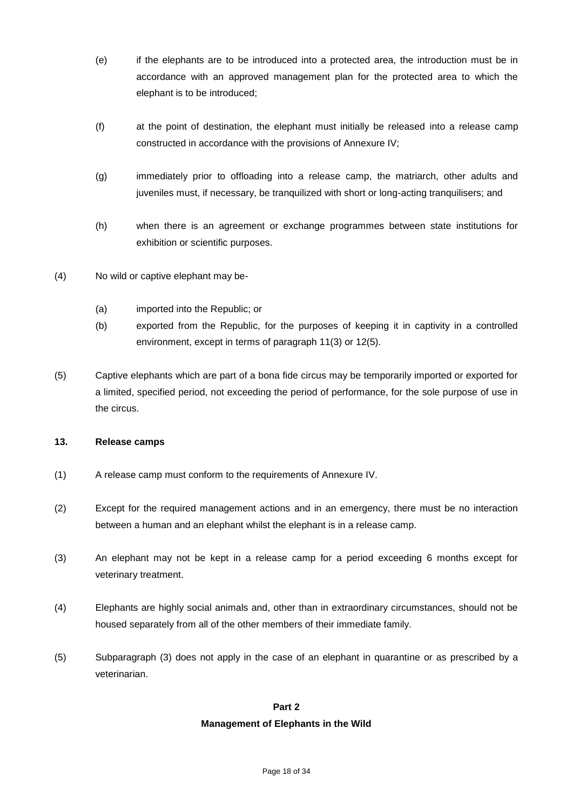- (e) if the elephants are to be introduced into a protected area, the introduction must be in accordance with an approved management plan for the protected area to which the elephant is to be introduced;
- (f) at the point of destination, the elephant must initially be released into a release camp constructed in accordance with the provisions of Annexure IV;
- (g) immediately prior to offloading into a release camp, the matriarch, other adults and juveniles must, if necessary, be tranquilized with short or long-acting tranquilisers; and
- (h) when there is an agreement or exchange programmes between state institutions for exhibition or scientific purposes.
- (4) No wild or captive elephant may be-
	- (a) imported into the Republic; or
	- (b) exported from the Republic, for the purposes of keeping it in captivity in a controlled environment, except in terms of paragraph 11(3) or 12(5).
- (5) Captive elephants which are part of a bona fide circus may be temporarily imported or exported for a limited, specified period, not exceeding the period of performance, for the sole purpose of use in the circus.

#### **13. Release camps**

- (1) A release camp must conform to the requirements of Annexure IV.
- (2) Except for the required management actions and in an emergency, there must be no interaction between a human and an elephant whilst the elephant is in a release camp.
- (3) An elephant may not be kept in a release camp for a period exceeding 6 months except for veterinary treatment.
- (4) Elephants are highly social animals and, other than in extraordinary circumstances, should not be housed separately from all of the other members of their immediate family.
- (5) Subparagraph (3) does not apply in the case of an elephant in quarantine or as prescribed by a veterinarian.

#### **Part 2**

#### **Management of Elephants in the Wild**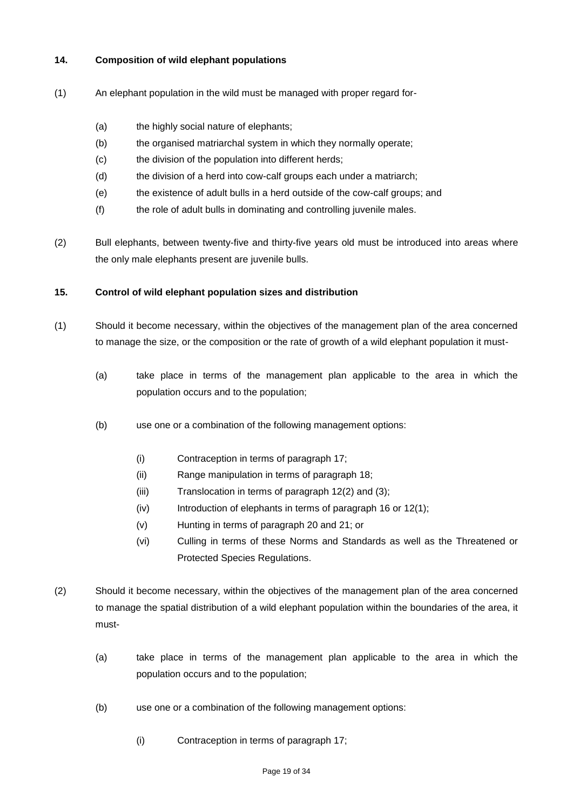### **14. Composition of wild elephant populations**

- (1) An elephant population in the wild must be managed with proper regard for-
	- (a) the highly social nature of elephants;
	- (b) the organised matriarchal system in which they normally operate;
	- (c) the division of the population into different herds;
	- (d) the division of a herd into cow-calf groups each under a matriarch;
	- (e) the existence of adult bulls in a herd outside of the cow-calf groups; and
	- (f) the role of adult bulls in dominating and controlling juvenile males.
- (2) Bull elephants, between twenty-five and thirty-five years old must be introduced into areas where the only male elephants present are juvenile bulls.

#### **15. Control of wild elephant population sizes and distribution**

- (1) Should it become necessary, within the objectives of the management plan of the area concerned to manage the size, or the composition or the rate of growth of a wild elephant population it must-
	- (a) take place in terms of the management plan applicable to the area in which the population occurs and to the population;
	- (b) use one or a combination of the following management options:
		- (i) Contraception in terms of paragraph 17;
		- (ii) Range manipulation in terms of paragraph 18;
		- (iii) Translocation in terms of paragraph 12(2) and (3);
		- $(iv)$  Introduction of elephants in terms of paragraph 16 or 12(1);
		- (v) Hunting in terms of paragraph 20 and 21; or
		- (vi) Culling in terms of these Norms and Standards as well as the Threatened or Protected Species Regulations.
- (2) Should it become necessary, within the objectives of the management plan of the area concerned to manage the spatial distribution of a wild elephant population within the boundaries of the area, it must-
	- (a) take place in terms of the management plan applicable to the area in which the population occurs and to the population;
	- (b) use one or a combination of the following management options:
		- (i) Contraception in terms of paragraph 17;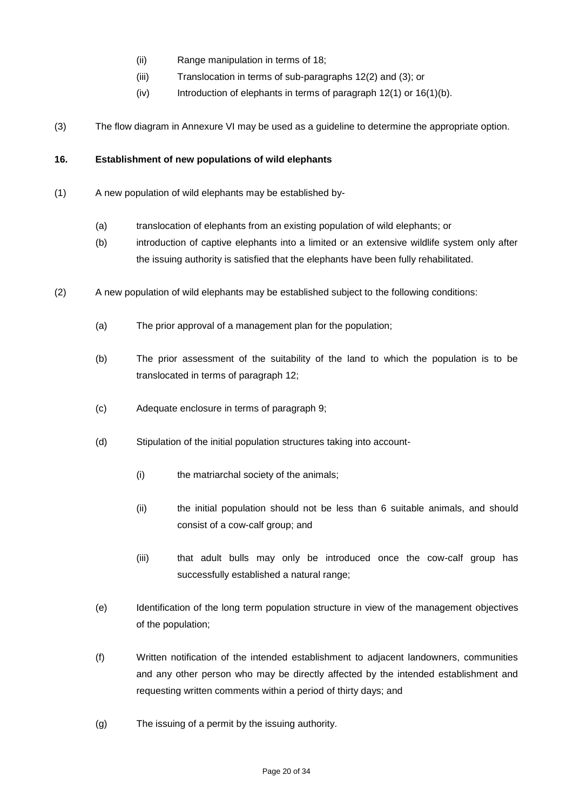- (ii) Range manipulation in terms of 18;
- (iii) Translocation in terms of sub-paragraphs 12(2) and (3); or
- (iv) Introduction of elephants in terms of paragraph  $12(1)$  or  $16(1)(b)$ .
- (3) The flow diagram in Annexure VI may be used as a guideline to determine the appropriate option.

#### **16. Establishment of new populations of wild elephants**

- (1) A new population of wild elephants may be established by-
	- (a) translocation of elephants from an existing population of wild elephants; or
	- (b) introduction of captive elephants into a limited or an extensive wildlife system only after the issuing authority is satisfied that the elephants have been fully rehabilitated.
- (2) A new population of wild elephants may be established subject to the following conditions:
	- (a) The prior approval of a management plan for the population;
	- (b) The prior assessment of the suitability of the land to which the population is to be translocated in terms of paragraph 12;
	- (c) Adequate enclosure in terms of paragraph 9;
	- (d) Stipulation of the initial population structures taking into account-
		- (i) the matriarchal society of the animals;
		- (ii) the initial population should not be less than 6 suitable animals, and should consist of a cow-calf group; and
		- (iii) that adult bulls may only be introduced once the cow-calf group has successfully established a natural range;
	- (e) Identification of the long term population structure in view of the management objectives of the population;
	- (f) Written notification of the intended establishment to adjacent landowners, communities and any other person who may be directly affected by the intended establishment and requesting written comments within a period of thirty days; and
	- (g) The issuing of a permit by the issuing authority.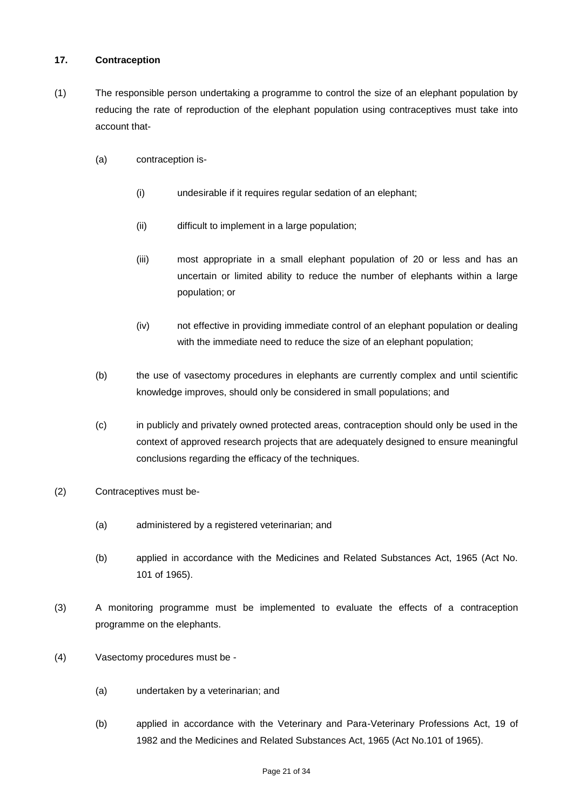### **17. Contraception**

- (1) The responsible person undertaking a programme to control the size of an elephant population by reducing the rate of reproduction of the elephant population using contraceptives must take into account that-
	- (a) contraception is-
		- (i) undesirable if it requires regular sedation of an elephant;
		- (ii) difficult to implement in a large population;
		- (iii) most appropriate in a small elephant population of 20 or less and has an uncertain or limited ability to reduce the number of elephants within a large population; or
		- (iv) not effective in providing immediate control of an elephant population or dealing with the immediate need to reduce the size of an elephant population;
	- (b) the use of vasectomy procedures in elephants are currently complex and until scientific knowledge improves, should only be considered in small populations; and
	- (c) in publicly and privately owned protected areas, contraception should only be used in the context of approved research projects that are adequately designed to ensure meaningful conclusions regarding the efficacy of the techniques.
- (2) Contraceptives must be-
	- (a) administered by a registered veterinarian; and
	- (b) applied in accordance with the Medicines and Related Substances Act, 1965 (Act No. 101 of 1965).
- (3) A monitoring programme must be implemented to evaluate the effects of a contraception programme on the elephants.
- (4) Vasectomy procedures must be
	- (a) undertaken by a veterinarian; and
	- (b) applied in accordance with the Veterinary and Para-Veterinary Professions Act, 19 of 1982 and the Medicines and Related Substances Act, 1965 (Act No.101 of 1965).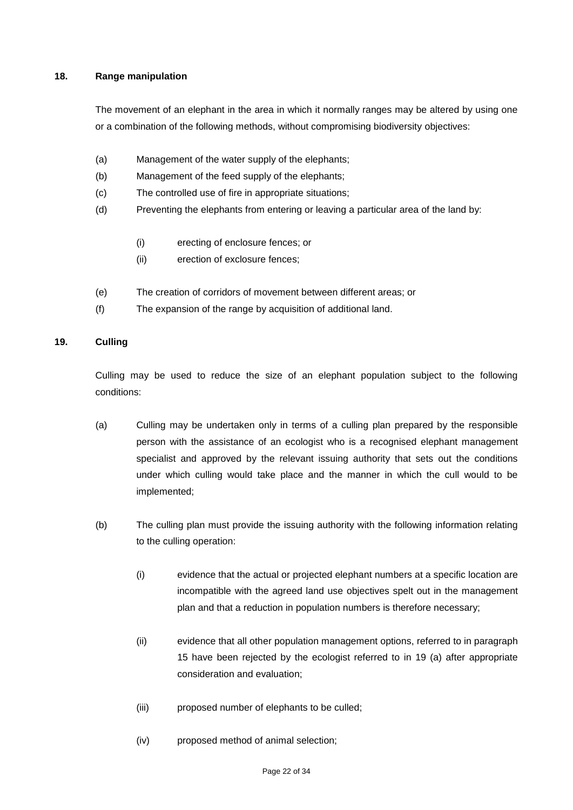### **18. Range manipulation**

The movement of an elephant in the area in which it normally ranges may be altered by using one or a combination of the following methods, without compromising biodiversity objectives:

- (a) Management of the water supply of the elephants;
- (b) Management of the feed supply of the elephants;
- (c) The controlled use of fire in appropriate situations;
- (d) Preventing the elephants from entering or leaving a particular area of the land by:
	- (i) erecting of enclosure fences; or
	- (ii) erection of exclosure fences;
- (e) The creation of corridors of movement between different areas; or
- (f) The expansion of the range by acquisition of additional land.

# **19. Culling**

Culling may be used to reduce the size of an elephant population subject to the following conditions:

- (a) Culling may be undertaken only in terms of a culling plan prepared by the responsible person with the assistance of an ecologist who is a recognised elephant management specialist and approved by the relevant issuing authority that sets out the conditions under which culling would take place and the manner in which the cull would to be implemented;
- (b) The culling plan must provide the issuing authority with the following information relating to the culling operation:
	- (i) evidence that the actual or projected elephant numbers at a specific location are incompatible with the agreed land use objectives spelt out in the management plan and that a reduction in population numbers is therefore necessary;
	- (ii) evidence that all other population management options, referred to in paragraph 15 have been rejected by the ecologist referred to in 19 (a) after appropriate consideration and evaluation;
	- (iii) proposed number of elephants to be culled;
	- (iv) proposed method of animal selection;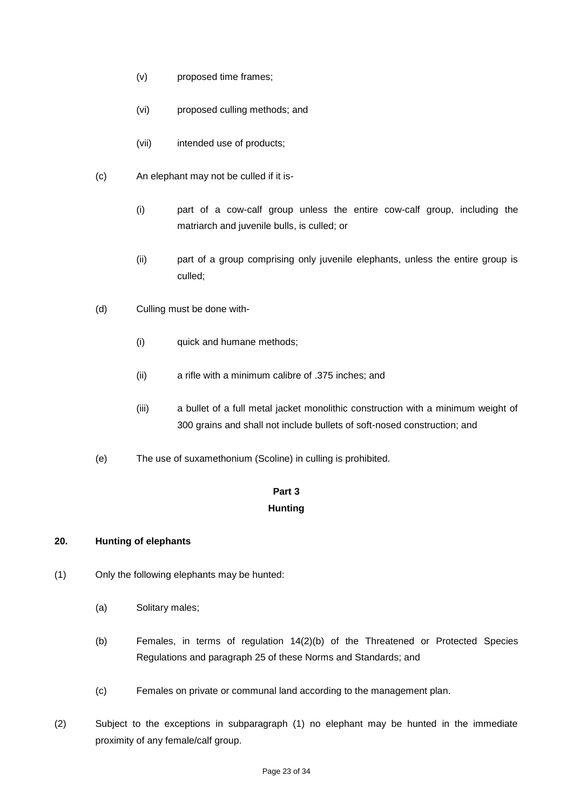- (v) proposed time frames;
- (vi) proposed culling methods; and
- (vii) intended use of products;
- (c) An elephant may not be culled if it is-
	- (i) part of a cow-calf group unless the entire cow-calf group, including the matriarch and juvenile bulls, is culled; or
	- (ii) part of a group comprising only juvenile elephants, unless the entire group is culled;
- (d) Culling must be done with-
	- (i) quick and humane methods;
	- (ii) a rifle with a minimum calibre of .375 inches; and
	- (iii) a bullet of a full metal jacket monolithic construction with a minimum weight of 300 grains and shall not include bullets of soft-nosed construction; and
- (e) The use of suxamethonium (Scoline) in culling is prohibited.

# **Part 3 Hunting**

### **20. Hunting of elephants**

- (1) Only the following elephants may be hunted:
	- (a) Solitary males;
	- (b) Females, in terms of regulation 14(2)(b) of the Threatened or Protected Species Regulations and paragraph 25 of these Norms and Standards; and
	- (c) Females on private or communal land according to the management plan.
- (2) Subject to the exceptions in subparagraph (1) no elephant may be hunted in the immediate proximity of any female/calf group.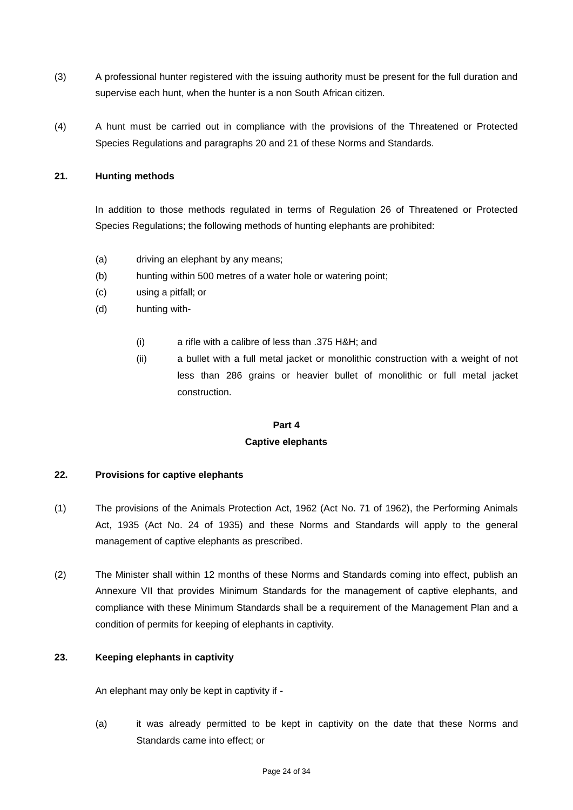- (3) A professional hunter registered with the issuing authority must be present for the full duration and supervise each hunt, when the hunter is a non South African citizen.
- (4) A hunt must be carried out in compliance with the provisions of the Threatened or Protected Species Regulations and paragraphs 20 and 21 of these Norms and Standards.

### **21. Hunting methods**

In addition to those methods regulated in terms of Regulation 26 of Threatened or Protected Species Regulations; the following methods of hunting elephants are prohibited:

- (a) driving an elephant by any means;
- (b) hunting within 500 metres of a water hole or watering point;
- (c) using a pitfall; or
- (d) hunting with-
	- (i) a rifle with a calibre of less than .375 H&H; and
	- (ii) a bullet with a full metal jacket or monolithic construction with a weight of not less than 286 grains or heavier bullet of monolithic or full metal jacket construction.

### **Part 4**

#### **Captive elephants**

#### **22. Provisions for captive elephants**

- (1) The provisions of the Animals Protection Act, 1962 (Act No. 71 of 1962), the Performing Animals Act, 1935 (Act No. 24 of 1935) and these Norms and Standards will apply to the general management of captive elephants as prescribed.
- (2) The Minister shall within 12 months of these Norms and Standards coming into effect, publish an Annexure VII that provides Minimum Standards for the management of captive elephants, and compliance with these Minimum Standards shall be a requirement of the Management Plan and a condition of permits for keeping of elephants in captivity.

### **23. Keeping elephants in captivity**

An elephant may only be kept in captivity if -

(a) it was already permitted to be kept in captivity on the date that these Norms and Standards came into effect; or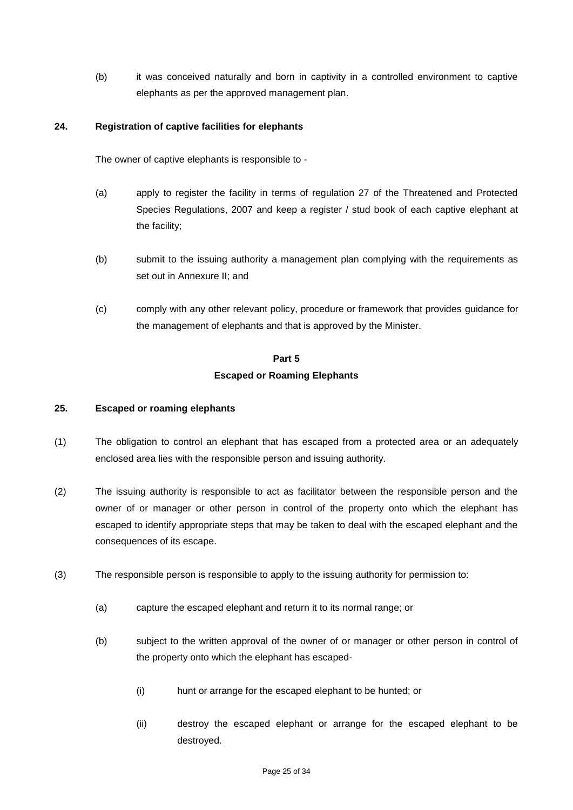(b) it was conceived naturally and born in captivity in a controlled environment to captive elephants as per the approved management plan.

### **24. Registration of captive facilities for elephants**

The owner of captive elephants is responsible to -

- (a) apply to register the facility in terms of regulation 27 of the Threatened and Protected Species Regulations, 2007 and keep a register / stud book of each captive elephant at the facility;
- (b) submit to the issuing authority a management plan complying with the requirements as set out in Annexure II; and
- (c) comply with any other relevant policy, procedure or framework that provides guidance for the management of elephants and that is approved by the Minister.

# **Part 5 Escaped or Roaming Elephants**

### **25. Escaped or roaming elephants**

- (1) The obligation to control an elephant that has escaped from a protected area or an adequately enclosed area lies with the responsible person and issuing authority.
- (2) The issuing authority is responsible to act as facilitator between the responsible person and the owner of or manager or other person in control of the property onto which the elephant has escaped to identify appropriate steps that may be taken to deal with the escaped elephant and the consequences of its escape.
- (3) The responsible person is responsible to apply to the issuing authority for permission to:
	- (a) capture the escaped elephant and return it to its normal range; or
	- (b) subject to the written approval of the owner of or manager or other person in control of the property onto which the elephant has escaped-
		- (i) hunt or arrange for the escaped elephant to be hunted; or
		- (ii) destroy the escaped elephant or arrange for the escaped elephant to be destroyed.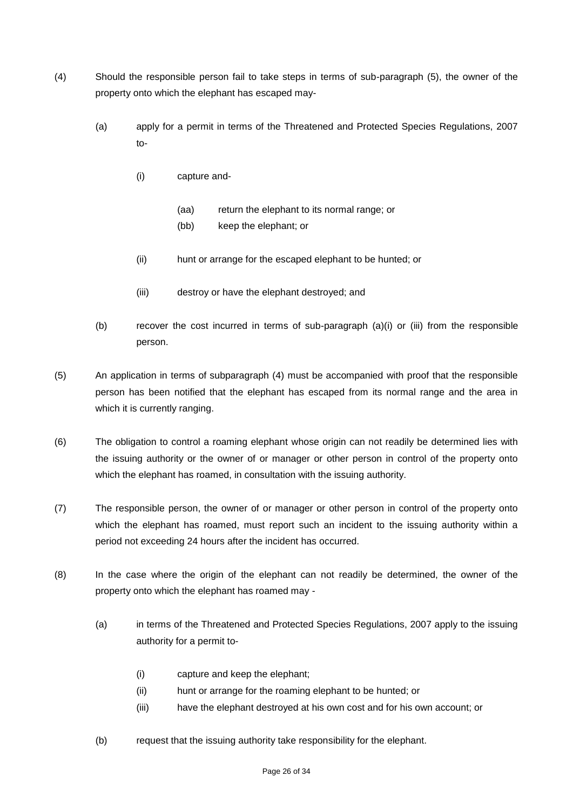- (4) Should the responsible person fail to take steps in terms of sub-paragraph (5), the owner of the property onto which the elephant has escaped may-
	- (a) apply for a permit in terms of the Threatened and Protected Species Regulations, 2007 to-
		- (i) capture and-
			- (aa) return the elephant to its normal range; or
			- (bb) keep the elephant; or
		- (ii) hunt or arrange for the escaped elephant to be hunted; or
		- (iii) destroy or have the elephant destroyed; and
	- (b) recover the cost incurred in terms of sub-paragraph (a)(i) or (iii) from the responsible person.
- (5) An application in terms of subparagraph (4) must be accompanied with proof that the responsible person has been notified that the elephant has escaped from its normal range and the area in which it is currently ranging.
- (6) The obligation to control a roaming elephant whose origin can not readily be determined lies with the issuing authority or the owner of or manager or other person in control of the property onto which the elephant has roamed, in consultation with the issuing authority.
- (7) The responsible person, the owner of or manager or other person in control of the property onto which the elephant has roamed, must report such an incident to the issuing authority within a period not exceeding 24 hours after the incident has occurred.
- (8) In the case where the origin of the elephant can not readily be determined, the owner of the property onto which the elephant has roamed may -
	- (a) in terms of the Threatened and Protected Species Regulations, 2007 apply to the issuing authority for a permit to-
		- (i) capture and keep the elephant;
		- (ii) hunt or arrange for the roaming elephant to be hunted; or
		- (iii) have the elephant destroyed at his own cost and for his own account; or
	- (b) request that the issuing authority take responsibility for the elephant.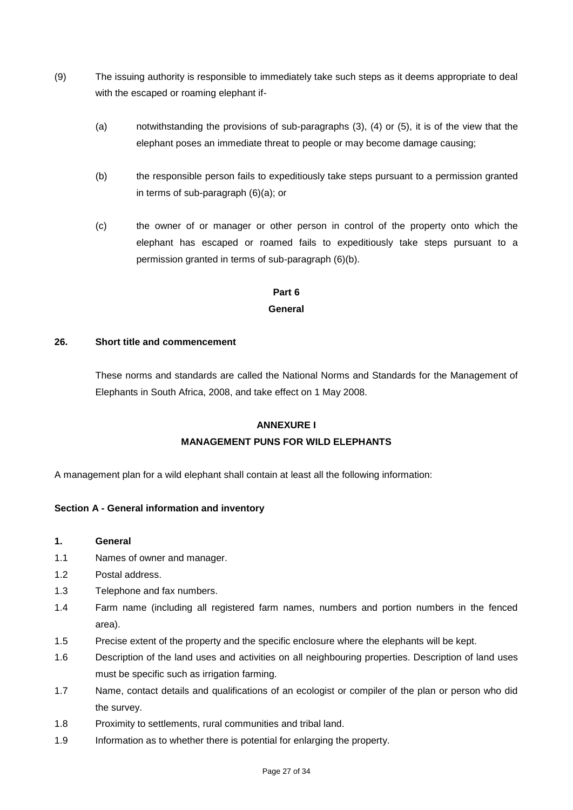- (9) The issuing authority is responsible to immediately take such steps as it deems appropriate to deal with the escaped or roaming elephant if-
	- (a) notwithstanding the provisions of sub-paragraphs (3), (4) or (5), it is of the view that the elephant poses an immediate threat to people or may become damage causing;
	- (b) the responsible person fails to expeditiously take steps pursuant to a permission granted in terms of sub-paragraph (6)(a); or
	- (c) the owner of or manager or other person in control of the property onto which the elephant has escaped or roamed fails to expeditiously take steps pursuant to a permission granted in terms of sub-paragraph (6)(b).

# **Part 6 General**

#### **26. Short title and commencement**

These norms and standards are called the National Norms and Standards for the Management of Elephants in South Africa, 2008, and take effect on 1 May 2008.

# **ANNEXURE I**

# **MANAGEMENT PUNS FOR WILD ELEPHANTS**

A management plan for a wild elephant shall contain at least all the following information:

# **Section A - General information and inventory**

- **1. General**
- 1.1 Names of owner and manager.
- 1.2 Postal address.
- 1.3 Telephone and fax numbers.
- 1.4 Farm name (including all registered farm names, numbers and portion numbers in the fenced area).
- 1.5 Precise extent of the property and the specific enclosure where the elephants will be kept.
- 1.6 Description of the land uses and activities on all neighbouring properties. Description of land uses must be specific such as irrigation farming.
- 1.7 Name, contact details and qualifications of an ecologist or compiler of the plan or person who did the survey.
- 1.8 Proximity to settlements, rural communities and tribal land.
- 1.9 Information as to whether there is potential for enlarging the property.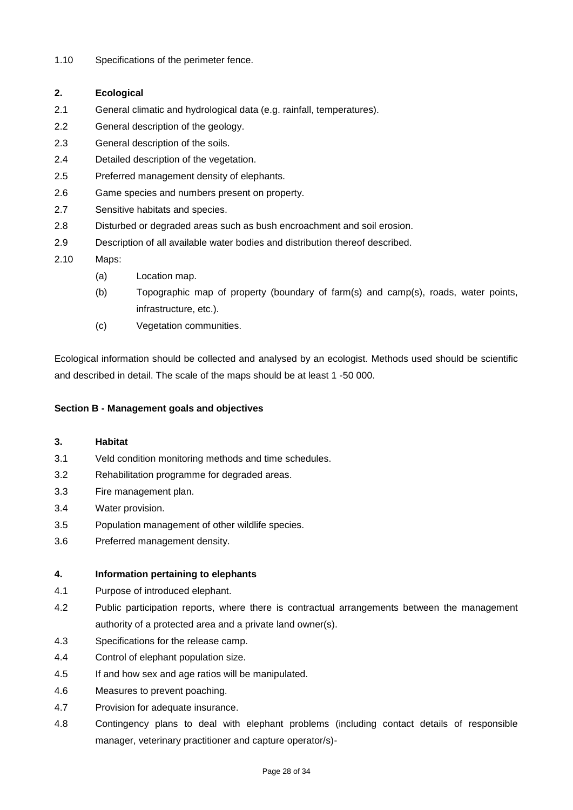1.10 Specifications of the perimeter fence.

# **2. Ecological**

- 2.1 General climatic and hydrological data (e.g. rainfall, temperatures).
- 2.2 General description of the geology.
- 2.3 General description of the soils.
- 2.4 Detailed description of the vegetation.
- 2.5 Preferred management density of elephants.
- 2.6 Game species and numbers present on property.
- 2.7 Sensitive habitats and species.
- 2.8 Disturbed or degraded areas such as bush encroachment and soil erosion.
- 2.9 Description of all available water bodies and distribution thereof described.
- 2.10 Maps:
	- (a) Location map.
	- (b) Topographic map of property (boundary of farm(s) and camp(s), roads, water points, infrastructure, etc.).
	- (c) Vegetation communities.

Ecological information should be collected and analysed by an ecologist. Methods used should be scientific and described in detail. The scale of the maps should be at least 1 -50 000.

#### **Section B - Management goals and objectives**

#### **3. Habitat**

- 3.1 Veld condition monitoring methods and time schedules.
- 3.2 Rehabilitation programme for degraded areas.
- 3.3 Fire management plan.
- 3.4 Water provision.
- 3.5 Population management of other wildlife species.
- 3.6 Preferred management density.

#### **4. Information pertaining to elephants**

- 4.1 Purpose of introduced elephant.
- 4.2 Public participation reports, where there is contractual arrangements between the management authority of a protected area and a private land owner(s).
- 4.3 Specifications for the release camp.
- 4.4 Control of elephant population size.
- 4.5 If and how sex and age ratios will be manipulated.
- 4.6 Measures to prevent poaching.
- 4.7 Provision for adequate insurance.
- 4.8 Contingency plans to deal with elephant problems (including contact details of responsible manager, veterinary practitioner and capture operator/s)-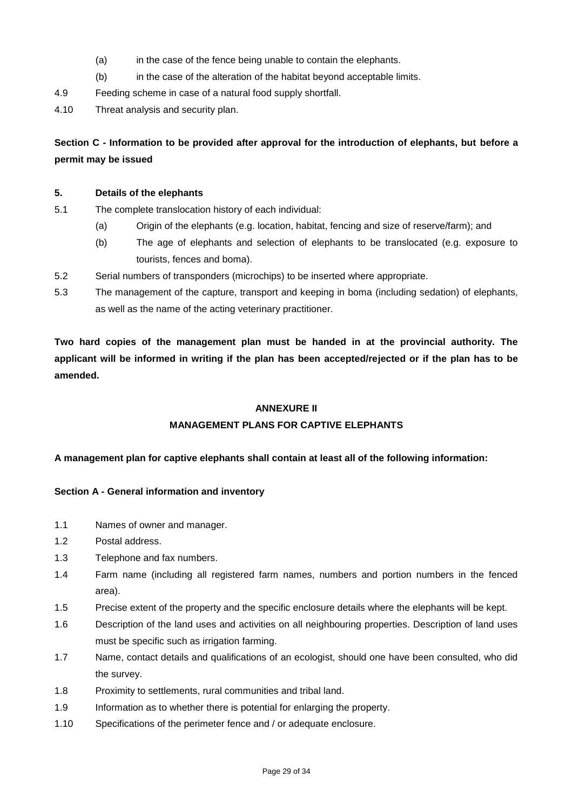- (a) in the case of the fence being unable to contain the elephants.
- (b) in the case of the alteration of the habitat beyond acceptable limits.

4.9 Feeding scheme in case of a natural food supply shortfall.

4.10 Threat analysis and security plan.

# **Section C - Information to be provided after approval for the introduction of elephants, but before a permit may be issued**

#### **5. Details of the elephants**

- 5.1 The complete translocation history of each individual:
	- (a) Origin of the elephants (e.g. location, habitat, fencing and size of reserve/farm); and
	- (b) The age of elephants and selection of elephants to be translocated (e.g. exposure to tourists, fences and boma).
- 5.2 Serial numbers of transponders (microchips) to be inserted where appropriate.
- 5.3 The management of the capture, transport and keeping in boma (including sedation) of elephants, as well as the name of the acting veterinary practitioner.

**Two hard copies of the management plan must be handed in at the provincial authority. The applicant will be informed in writing if the plan has been accepted/rejected or if the plan has to be amended.**

### **ANNEXURE II**

# **MANAGEMENT PLANS FOR CAPTIVE ELEPHANTS**

# **A management plan for captive elephants shall contain at least all of the following information:**

#### **Section A - General information and inventory**

- 1.1 Names of owner and manager.
- 1.2 Postal address.
- 1.3 Telephone and fax numbers.
- 1.4 Farm name (including all registered farm names, numbers and portion numbers in the fenced area).
- 1.5 Precise extent of the property and the specific enclosure details where the elephants will be kept.
- 1.6 Description of the land uses and activities on all neighbouring properties. Description of land uses must be specific such as irrigation farming.
- 1.7 Name, contact details and qualifications of an ecologist, should one have been consulted, who did the survey.
- 1.8 Proximity to settlements, rural communities and tribal land.
- 1.9 Information as to whether there is potential for enlarging the property.
- 1.10 Specifications of the perimeter fence and / or adequate enclosure.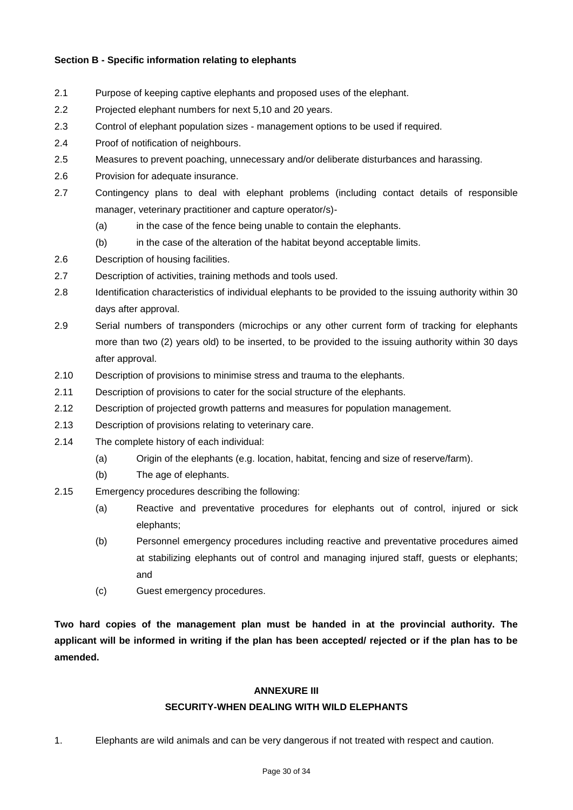### **Section B - Specific information relating to elephants**

- 2.1 Purpose of keeping captive elephants and proposed uses of the elephant.
- 2.2 Projected elephant numbers for next 5,10 and 20 years.
- 2.3 Control of elephant population sizes management options to be used if required.
- 2.4 Proof of notification of neighbours.
- 2.5 Measures to prevent poaching, unnecessary and/or deliberate disturbances and harassing.
- 2.6 Provision for adequate insurance.
- 2.7 Contingency plans to deal with elephant problems (including contact details of responsible manager, veterinary practitioner and capture operator/s)-
	- (a) in the case of the fence being unable to contain the elephants.
	- (b) in the case of the alteration of the habitat beyond acceptable limits.
- 2.6 Description of housing facilities.
- 2.7 Description of activities, training methods and tools used.
- 2.8 Identification characteristics of individual elephants to be provided to the issuing authority within 30 days after approval.
- 2.9 Serial numbers of transponders (microchips or any other current form of tracking for elephants more than two (2) years old) to be inserted, to be provided to the issuing authority within 30 days after approval.
- 2.10 Description of provisions to minimise stress and trauma to the elephants.
- 2.11 Description of provisions to cater for the social structure of the elephants.
- 2.12 Description of projected growth patterns and measures for population management.
- 2.13 Description of provisions relating to veterinary care.
- 2.14 The complete history of each individual:
	- (a) Origin of the elephants (e.g. location, habitat, fencing and size of reserve/farm).
	- (b) The age of elephants.
- 2.15 Emergency procedures describing the following:
	- (a) Reactive and preventative procedures for elephants out of control, injured or sick elephants;
	- (b) Personnel emergency procedures including reactive and preventative procedures aimed at stabilizing elephants out of control and managing injured staff, guests or elephants; and
	- (c) Guest emergency procedures.

**Two hard copies of the management plan must be handed in at the provincial authority. The applicant will be informed in writing if the plan has been accepted/ rejected or if the plan has to be amended.**

#### **ANNEXURE III**

# **SECURITY-WHEN DEALING WITH WILD ELEPHANTS**

1. Elephants are wild animals and can be very dangerous if not treated with respect and caution.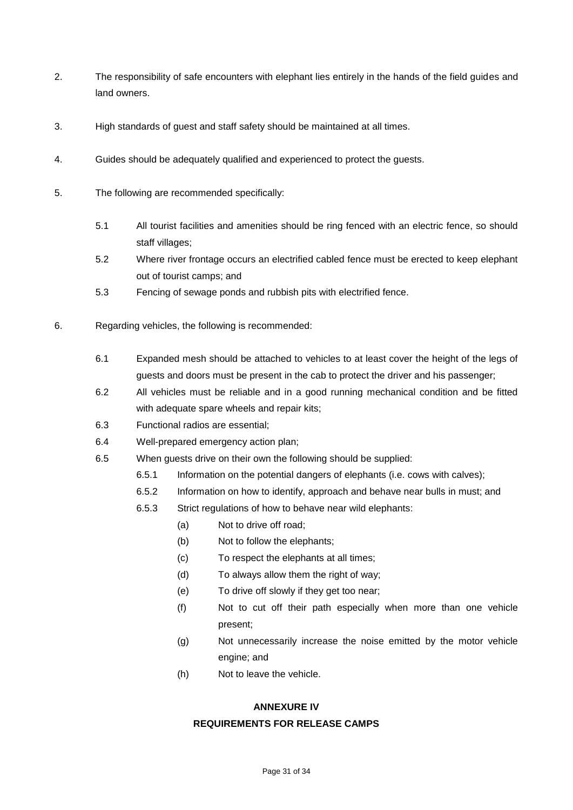- 2. The responsibility of safe encounters with elephant lies entirely in the hands of the field guides and land owners.
- 3. High standards of guest and staff safety should be maintained at all times.
- 4. Guides should be adequately qualified and experienced to protect the guests.
- 5. The following are recommended specifically:
	- 5.1 All tourist facilities and amenities should be ring fenced with an electric fence, so should staff villages;
	- 5.2 Where river frontage occurs an electrified cabled fence must be erected to keep elephant out of tourist camps; and
	- 5.3 Fencing of sewage ponds and rubbish pits with electrified fence.
- 6. Regarding vehicles, the following is recommended:
	- 6.1 Expanded mesh should be attached to vehicles to at least cover the height of the legs of guests and doors must be present in the cab to protect the driver and his passenger;
	- 6.2 All vehicles must be reliable and in a good running mechanical condition and be fitted with adequate spare wheels and repair kits;
	- 6.3 Functional radios are essential;
	- 6.4 Well-prepared emergency action plan;
	- 6.5 When guests drive on their own the following should be supplied:
		- 6.5.1 Information on the potential dangers of elephants (i.e. cows with calves);
		- 6.5.2 Information on how to identify, approach and behave near bulls in must; and
		- 6.5.3 Strict regulations of how to behave near wild elephants:
			- (a) Not to drive off road;
			- (b) Not to follow the elephants;
			- (c) To respect the elephants at all times;
			- (d) To always allow them the right of way;
			- (e) To drive off slowly if they get too near;
			- (f) Not to cut off their path especially when more than one vehicle present;
			- (g) Not unnecessarily increase the noise emitted by the motor vehicle engine; and
			- (h) Not to leave the vehicle.

#### **ANNEXURE IV**

#### **REQUIREMENTS FOR RELEASE CAMPS**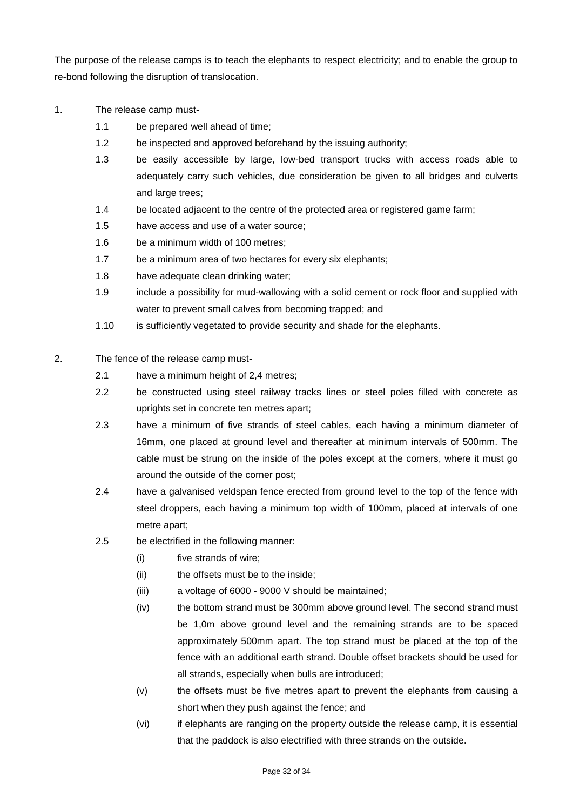The purpose of the release camps is to teach the elephants to respect electricity; and to enable the group to re-bond following the disruption of translocation.

- 1. The release camp must-
	- 1.1 be prepared well ahead of time;
	- 1.2 be inspected and approved beforehand by the issuing authority;
	- 1.3 be easily accessible by large, low-bed transport trucks with access roads able to adequately carry such vehicles, due consideration be given to all bridges and culverts and large trees;
	- 1.4 be located adjacent to the centre of the protected area or registered game farm;
	- 1.5 have access and use of a water source;
	- 1.6 be a minimum width of 100 metres;
	- 1.7 be a minimum area of two hectares for every six elephants;
	- 1.8 have adequate clean drinking water;
	- 1.9 include a possibility for mud-wallowing with a solid cement or rock floor and supplied with water to prevent small calves from becoming trapped; and
	- 1.10 is sufficiently vegetated to provide security and shade for the elephants.
- 2. The fence of the release camp must-
	- 2.1 have a minimum height of 2,4 metres;
	- 2.2 be constructed using steel railway tracks lines or steel poles filled with concrete as uprights set in concrete ten metres apart;
	- 2.3 have a minimum of five strands of steel cables, each having a minimum diameter of 16mm, one placed at ground level and thereafter at minimum intervals of 500mm. The cable must be strung on the inside of the poles except at the corners, where it must go around the outside of the corner post;
	- 2.4 have a galvanised veldspan fence erected from ground level to the top of the fence with steel droppers, each having a minimum top width of 100mm, placed at intervals of one metre apart;
	- 2.5 be electrified in the following manner:
		- (i) five strands of wire;
		- (ii) the offsets must be to the inside;
		- (iii) a voltage of 6000 9000 V should be maintained;
		- (iv) the bottom strand must be 300mm above ground level. The second strand must be 1,0m above ground level and the remaining strands are to be spaced approximately 500mm apart. The top strand must be placed at the top of the fence with an additional earth strand. Double offset brackets should be used for all strands, especially when bulls are introduced;
		- (v) the offsets must be five metres apart to prevent the elephants from causing a short when they push against the fence; and
		- (vi) if elephants are ranging on the property outside the release camp, it is essential that the paddock is also electrified with three strands on the outside.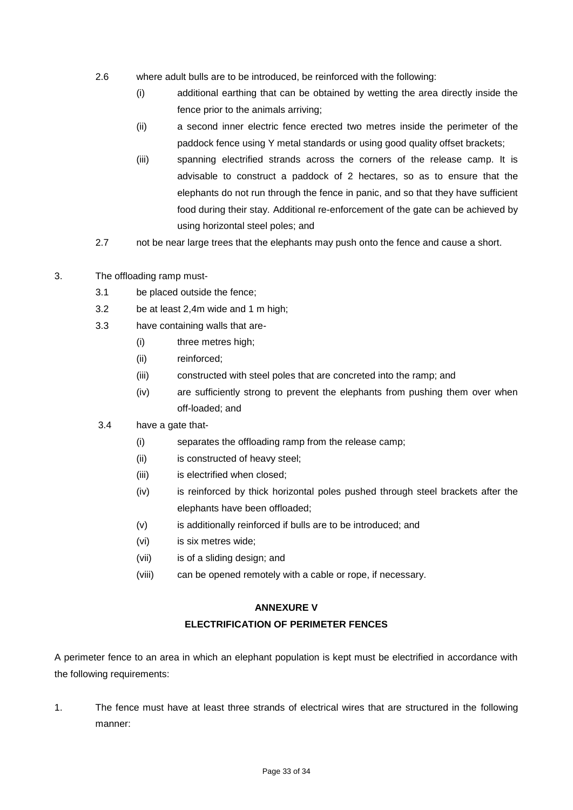- 2.6 where adult bulls are to be introduced, be reinforced with the following:
	- (i) additional earthing that can be obtained by wetting the area directly inside the fence prior to the animals arriving;
	- (ii) a second inner electric fence erected two metres inside the perimeter of the paddock fence using Y metal standards or using good quality offset brackets;
	- (iii) spanning electrified strands across the corners of the release camp. It is advisable to construct a paddock of 2 hectares, so as to ensure that the elephants do not run through the fence in panic, and so that they have sufficient food during their stay. Additional re-enforcement of the gate can be achieved by using horizontal steel poles; and
- 2.7 not be near large trees that the elephants may push onto the fence and cause a short.
- 3. The offloading ramp must-
	- 3.1 be placed outside the fence;
	- 3.2 be at least 2,4m wide and 1 m high;
	- 3.3 have containing walls that are-
		- (i) three metres high;
		- (ii) reinforced;
		- (iii) constructed with steel poles that are concreted into the ramp; and
		- (iv) are sufficiently strong to prevent the elephants from pushing them over when off-loaded; and
	- 3.4 have a gate that-
		- (i) separates the offloading ramp from the release camp;
		- (ii) is constructed of heavy steel;
		- (iii) is electrified when closed;
		- (iv) is reinforced by thick horizontal poles pushed through steel brackets after the elephants have been offloaded;
		- (v) is additionally reinforced if bulls are to be introduced; and
		- (vi) is six metres wide;
		- (vii) is of a sliding design; and
		- (viii) can be opened remotely with a cable or rope, if necessary.

#### **ANNEXURE V**

#### **ELECTRIFICATION OF PERIMETER FENCES**

A perimeter fence to an area in which an elephant population is kept must be electrified in accordance with the following requirements:

1. The fence must have at least three strands of electrical wires that are structured in the following manner: